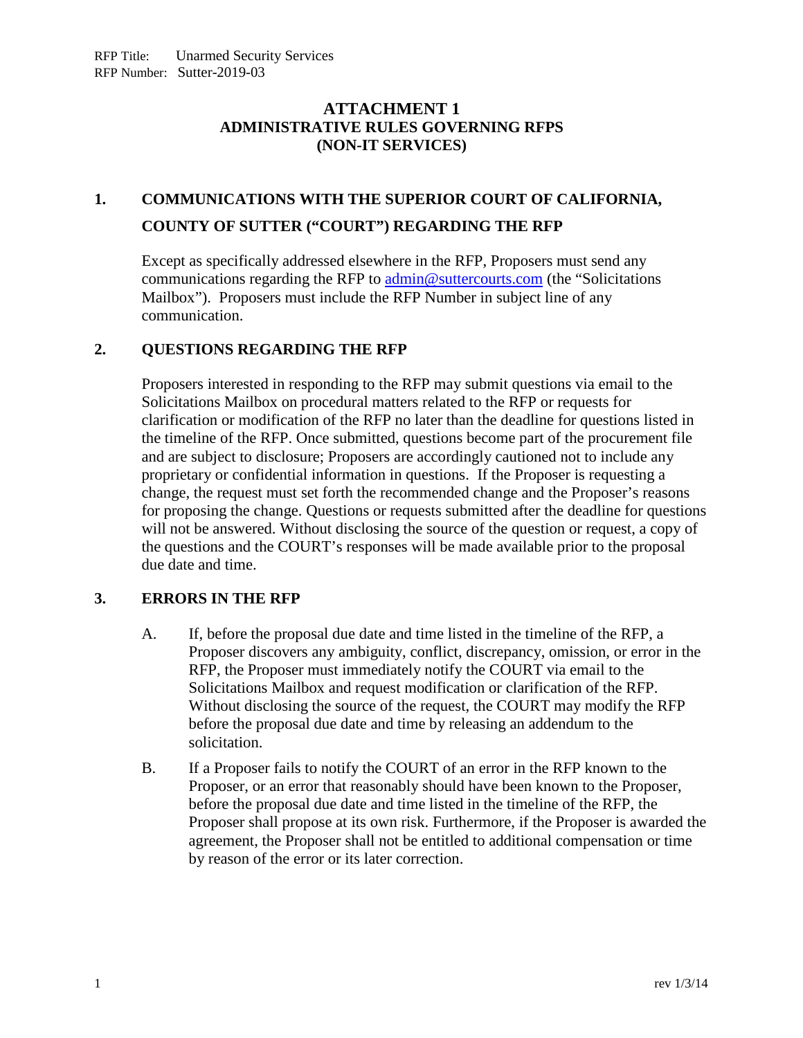# **ATTACHMENT 1 ADMINISTRATIVE RULES GOVERNING RFPS (NON-IT SERVICES)**

# **1. COMMUNICATIONS WITH THE SUPERIOR COURT OF CALIFORNIA, COUNTY OF SUTTER ("COURT") REGARDING THE RFP**

Except as specifically addressed elsewhere in the RFP, Proposers must send any communications regarding the RFP to  $\alpha$  [admin@suttercourts.com](mailto:admin@suttercourts.com) (the "Solicitations") Mailbox"). Proposers must include the RFP Number in subject line of any communication.

## **2. QUESTIONS REGARDING THE RFP**

Proposers interested in responding to the RFP may submit questions via email to the Solicitations Mailbox on procedural matters related to the RFP or requests for clarification or modification of the RFP no later than the deadline for questions listed in the timeline of the RFP. Once submitted, questions become part of the procurement file and are subject to disclosure; Proposers are accordingly cautioned not to include any proprietary or confidential information in questions. If the Proposer is requesting a change, the request must set forth the recommended change and the Proposer's reasons for proposing the change. Questions or requests submitted after the deadline for questions will not be answered. Without disclosing the source of the question or request, a copy of the questions and the COURT's responses will be made available prior to the proposal due date and time.

# **3. ERRORS IN THE RFP**

- A. If, before the proposal due date and time listed in the timeline of the RFP, a Proposer discovers any ambiguity, conflict, discrepancy, omission, or error in the RFP, the Proposer must immediately notify the COURT via email to the Solicitations Mailbox and request modification or clarification of the RFP. Without disclosing the source of the request, the COURT may modify the RFP before the proposal due date and time by releasing an addendum to the solicitation.
- B. If a Proposer fails to notify the COURT of an error in the RFP known to the Proposer, or an error that reasonably should have been known to the Proposer, before the proposal due date and time listed in the timeline of the RFP, the Proposer shall propose at its own risk. Furthermore, if the Proposer is awarded the agreement, the Proposer shall not be entitled to additional compensation or time by reason of the error or its later correction.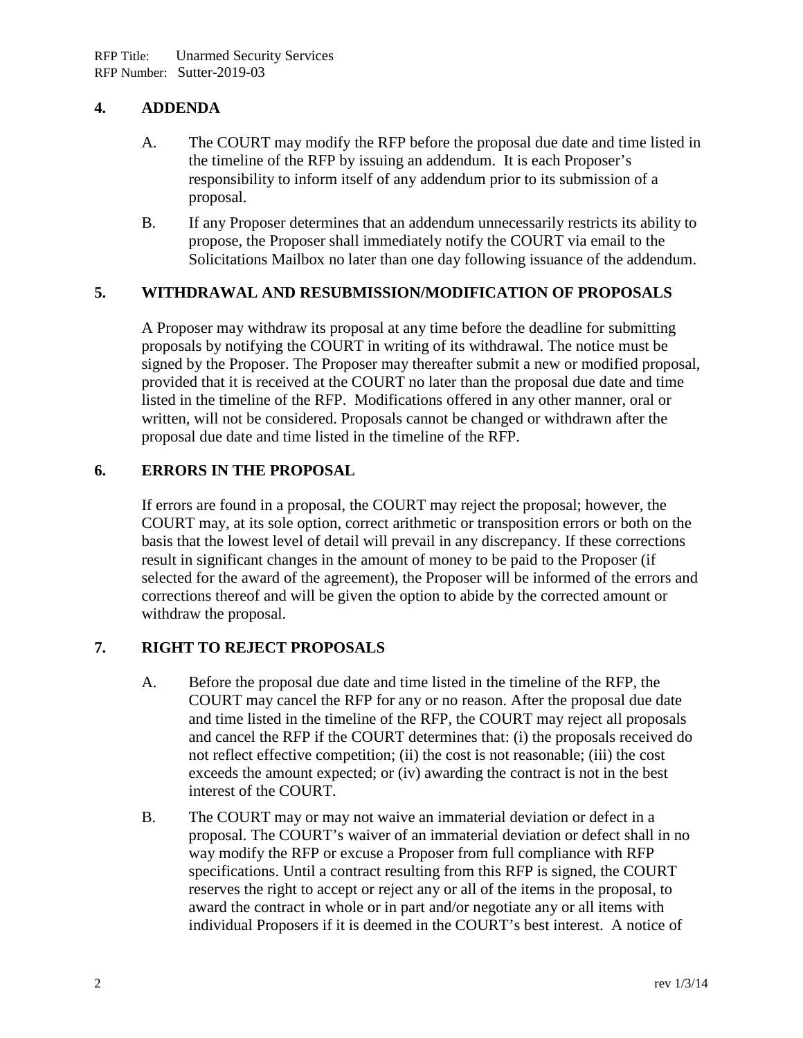## **4. ADDENDA**

- A. The COURT may modify the RFP before the proposal due date and time listed in the timeline of the RFP by issuing an addendum. It is each Proposer's responsibility to inform itself of any addendum prior to its submission of a proposal.
- B. If any Proposer determines that an addendum unnecessarily restricts its ability to propose, the Proposer shall immediately notify the COURT via email to the Solicitations Mailbox no later than one day following issuance of the addendum.

## **5. WITHDRAWAL AND RESUBMISSION/MODIFICATION OF PROPOSALS**

A Proposer may withdraw its proposal at any time before the deadline for submitting proposals by notifying the COURT in writing of its withdrawal. The notice must be signed by the Proposer. The Proposer may thereafter submit a new or modified proposal, provided that it is received at the COURT no later than the proposal due date and time listed in the timeline of the RFP. Modifications offered in any other manner, oral or written, will not be considered. Proposals cannot be changed or withdrawn after the proposal due date and time listed in the timeline of the RFP.

# **6. ERRORS IN THE PROPOSAL**

If errors are found in a proposal, the COURT may reject the proposal; however, the COURT may, at its sole option, correct arithmetic or transposition errors or both on the basis that the lowest level of detail will prevail in any discrepancy. If these corrections result in significant changes in the amount of money to be paid to the Proposer (if selected for the award of the agreement), the Proposer will be informed of the errors and corrections thereof and will be given the option to abide by the corrected amount or withdraw the proposal.

#### **7. RIGHT TO REJECT PROPOSALS**

- A. Before the proposal due date and time listed in the timeline of the RFP, the COURT may cancel the RFP for any or no reason. After the proposal due date and time listed in the timeline of the RFP, the COURT may reject all proposals and cancel the RFP if the COURT determines that: (i) the proposals received do not reflect effective competition; (ii) the cost is not reasonable; (iii) the cost exceeds the amount expected; or (iv) awarding the contract is not in the best interest of the COURT.
- B. The COURT may or may not waive an immaterial deviation or defect in a proposal. The COURT's waiver of an immaterial deviation or defect shall in no way modify the RFP or excuse a Proposer from full compliance with RFP specifications. Until a contract resulting from this RFP is signed, the COURT reserves the right to accept or reject any or all of the items in the proposal, to award the contract in whole or in part and/or negotiate any or all items with individual Proposers if it is deemed in the COURT's best interest. A notice of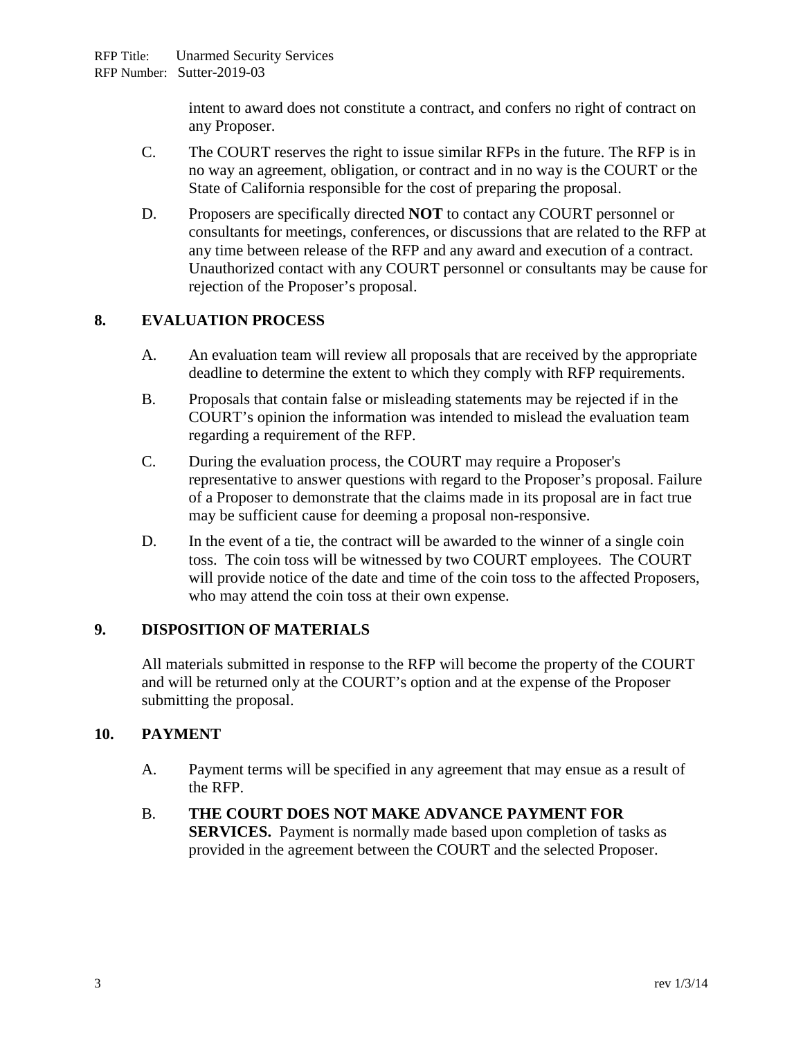intent to award does not constitute a contract, and confers no right of contract on any Proposer.

- C. The COURT reserves the right to issue similar RFPs in the future. The RFP is in no way an agreement, obligation, or contract and in no way is the COURT or the State of California responsible for the cost of preparing the proposal.
- D. Proposers are specifically directed **NOT** to contact any COURT personnel or consultants for meetings, conferences, or discussions that are related to the RFP at any time between release of the RFP and any award and execution of a contract. Unauthorized contact with any COURT personnel or consultants may be cause for rejection of the Proposer's proposal.

# **8. EVALUATION PROCESS**

- A. An evaluation team will review all proposals that are received by the appropriate deadline to determine the extent to which they comply with RFP requirements.
- B. Proposals that contain false or misleading statements may be rejected if in the COURT's opinion the information was intended to mislead the evaluation team regarding a requirement of the RFP.
- C. During the evaluation process, the COURT may require a Proposer's representative to answer questions with regard to the Proposer's proposal. Failure of a Proposer to demonstrate that the claims made in its proposal are in fact true may be sufficient cause for deeming a proposal non-responsive.
- D. In the event of a tie, the contract will be awarded to the winner of a single coin toss. The coin toss will be witnessed by two COURT employees. The COURT will provide notice of the date and time of the coin toss to the affected Proposers, who may attend the coin toss at their own expense.

# **9. DISPOSITION OF MATERIALS**

All materials submitted in response to the RFP will become the property of the COURT and will be returned only at the COURT's option and at the expense of the Proposer submitting the proposal.

# **10. PAYMENT**

- A. Payment terms will be specified in any agreement that may ensue as a result of the RFP.
- B. **THE COURT DOES NOT MAKE ADVANCE PAYMENT FOR SERVICES.** Payment is normally made based upon completion of tasks as provided in the agreement between the COURT and the selected Proposer.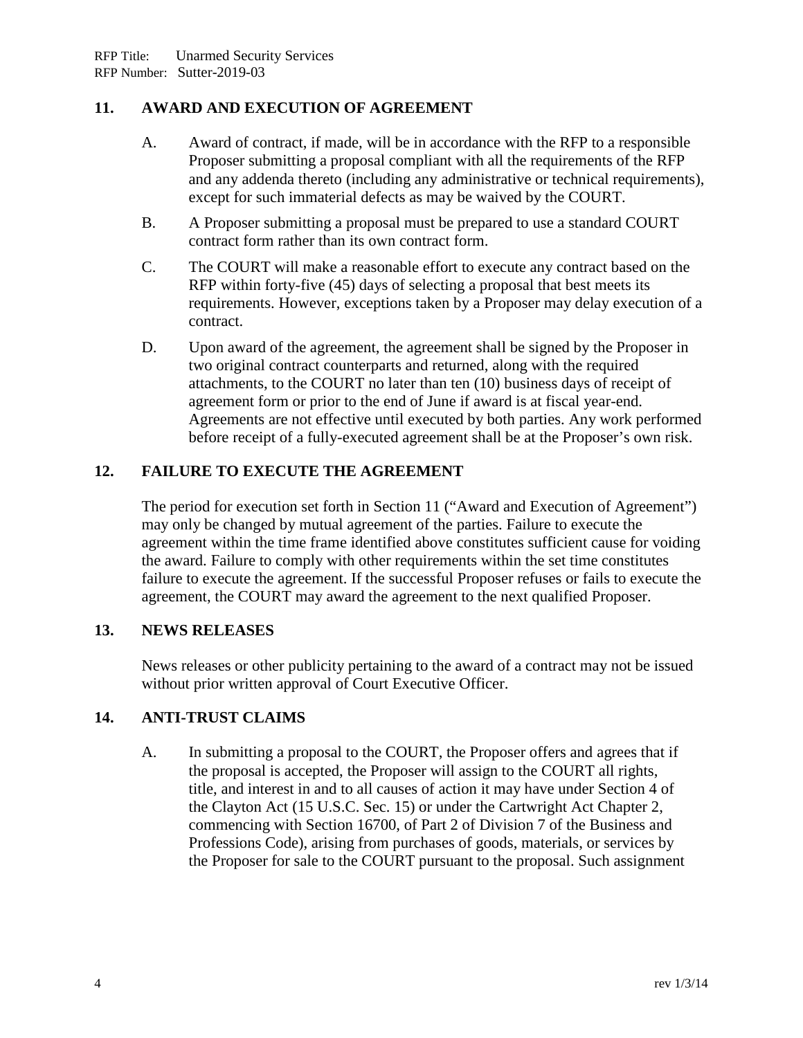# **11. AWARD AND EXECUTION OF AGREEMENT**

- A. Award of contract, if made, will be in accordance with the RFP to a responsible Proposer submitting a proposal compliant with all the requirements of the RFP and any addenda thereto (including any administrative or technical requirements), except for such immaterial defects as may be waived by the COURT.
- B. A Proposer submitting a proposal must be prepared to use a standard COURT contract form rather than its own contract form.
- C. The COURT will make a reasonable effort to execute any contract based on the RFP within forty-five (45) days of selecting a proposal that best meets its requirements. However, exceptions taken by a Proposer may delay execution of a contract.
- D. Upon award of the agreement, the agreement shall be signed by the Proposer in two original contract counterparts and returned, along with the required attachments, to the COURT no later than ten (10) business days of receipt of agreement form or prior to the end of June if award is at fiscal year-end. Agreements are not effective until executed by both parties. Any work performed before receipt of a fully-executed agreement shall be at the Proposer's own risk.

## **12. FAILURE TO EXECUTE THE AGREEMENT**

The period for execution set forth in Section 11 ("Award and Execution of Agreement") may only be changed by mutual agreement of the parties. Failure to execute the agreement within the time frame identified above constitutes sufficient cause for voiding the award. Failure to comply with other requirements within the set time constitutes failure to execute the agreement. If the successful Proposer refuses or fails to execute the agreement, the COURT may award the agreement to the next qualified Proposer.

### **13. NEWS RELEASES**

News releases or other publicity pertaining to the award of a contract may not be issued without prior written approval of Court Executive Officer.

# **14. ANTI-TRUST CLAIMS**

A. In submitting a proposal to the COURT, the Proposer offers and agrees that if the proposal is accepted, the Proposer will assign to the COURT all rights, title, and interest in and to all causes of action it may have under Section 4 of the Clayton Act (15 U.S.C. Sec. 15) or under the Cartwright Act Chapter 2, commencing with Section 16700, of Part 2 of Division 7 of the Business and Professions Code), arising from purchases of goods, materials, or services by the Proposer for sale to the COURT pursuant to the proposal. Such assignment